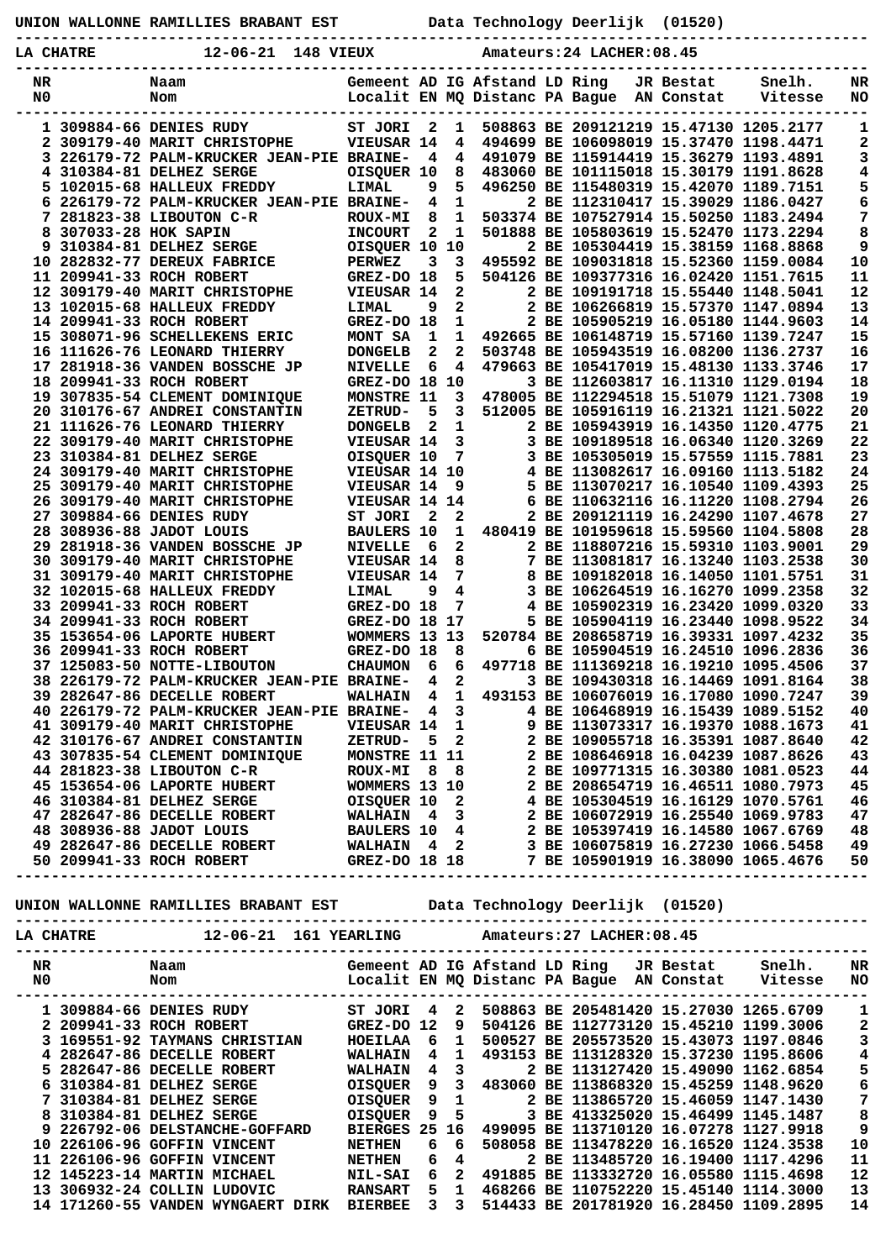|           |                       | UNION WALLONNE RAMILLIES BRABANT EST                                          |                              |        |                                         |                                                                 | Data Technology Deerlijk                                                                | (01520)                 |                   |                       |
|-----------|-----------------------|-------------------------------------------------------------------------------|------------------------------|--------|-----------------------------------------|-----------------------------------------------------------------|-----------------------------------------------------------------------------------------|-------------------------|-------------------|-----------------------|
| LA CHATRE |                       | 12-06-21 148 VIEUX                                                            |                              |        |                                         |                                                                 | Amateurs: 24 LACHER: 08.45                                                              |                         |                   |                       |
| NR<br>N0  |                       | Naam<br>Nom                                                                   |                              |        |                                         | Gemeent AD IG Afstand LD Ring<br>Localit EN MQ Distanc PA Bague |                                                                                         | JR Bestat<br>AN Constat | Snelh.<br>Vitesse | NR<br>NO.             |
|           |                       | 1 309884-66 DENIES RUDY                                                       | ST JORI                      | - 2    | $\mathbf{1}$                            |                                                                 | 508863 BE 209121219 15.47130 1205.2177                                                  |                         |                   | 1                     |
|           |                       | 2 309179-40 MARIT CHRISTOPHE                                                  | VIEUSAR 14                   |        | $\overline{\mathbf{4}}$                 |                                                                 | 494699 BE 106098019 15.37470 1198.4471                                                  |                         |                   | 2                     |
|           |                       | 3 226179-72 PALM-KRUCKER JEAN-PIE BRAINE-                                     |                              | - 4    | 4                                       |                                                                 | 491079 BE 115914419 15.36279 1193.4891                                                  |                         |                   | 3                     |
|           |                       | 4 310384-81 DELHEZ SERGE<br>5 102015-68 HALLEUX FREDDY                        | OISQUER 10<br>LIMAL          | 9      | 8<br>5                                  |                                                                 | 483060 BE 101115018 15.30179 1191.8628<br>496250 BE 115480319 15.42070 1189.7151        |                         |                   | 4<br>5                |
|           |                       | 6 226179-72 PALM-KRUCKER JEAN-PIE BRAINE-                                     |                              | 4      | $\mathbf{1}$                            |                                                                 | 2 BE 112310417 15.39029 1186.0427                                                       |                         |                   | 6                     |
|           |                       | 7 281823-38 LIBOUTON C-R                                                      | <b>ROUX-MI</b>               | 8      | $\mathbf{1}$                            |                                                                 | 503374 BE 107527914 15.50250 1183.2494                                                  |                         |                   | 7                     |
|           | 8 307033-28 HOK SAPIN |                                                                               | <b>INCOURT</b>               | 2      | $\mathbf{1}$                            |                                                                 | 501888 BE 105803619 15.52470 1173.2294                                                  |                         |                   | 8                     |
|           |                       | 9 310384-81 DELHEZ SERGE                                                      | OISQUER 10                   |        | 10                                      |                                                                 | 2 BE 105304419 15.38159 1168.8868                                                       |                         |                   | 9                     |
|           |                       | 10 282832-77 DEREUX FABRICE<br>11 209941-33 ROCH ROBERT                       | <b>PERWEZ</b><br>GREZ-DO 18  | 3      | 3<br>5.                                 |                                                                 | 495592 BE 109031818 15.52360 1159.0084<br>504126 BE 109377316 16.02420 1151.7615        |                         |                   | 10<br>11              |
|           |                       | 12 309179-40 MARIT CHRISTOPHE                                                 | VIEUSAR 14                   |        | $\mathbf{2}$                            |                                                                 | 2 BE 109191718 15.55440 1148.5041                                                       |                         |                   | 12                    |
|           |                       | 13 102015-68 HALLEUX FREDDY                                                   | <b>LIMAL</b>                 | 9      | $\overline{a}$                          |                                                                 | 2 BE 106266819 15.57370 1147.0894                                                       |                         |                   | 13                    |
|           |                       | 14 209941-33 ROCH ROBERT                                                      | GREZ-DO 18                   |        | $\mathbf{1}$                            |                                                                 | 2 BE 105905219 16.05180 1144.9603                                                       |                         |                   | 14                    |
|           |                       | 15 308071-96 SCHELLEKENS ERIC<br>16 111626-76 LEONARD THIERRY                 | MONT SA<br><b>DONGELB</b>    | 1<br>2 | $\mathbf{1}$<br>$\mathbf{2}$            |                                                                 | 492665 BE 106148719 15.57160 1139.7247<br>503748 BE 105943519 16.08200 1136.2737        |                         |                   | 15<br>16              |
|           |                       | 17 281918-36 VANDEN BOSSCHE JP                                                | <b>NIVELLE</b>               | 6      | 4                                       |                                                                 | 479663 BE 105417019 15.48130 1133.3746                                                  |                         |                   | 17                    |
|           |                       | 18 209941-33 ROCH ROBERT                                                      | GREZ-DO 18 10                |        |                                         |                                                                 | 3 BE 112603817 16.11310 1129.0194                                                       |                         |                   | 18                    |
|           |                       | 19 307835-54 CLEMENT DOMINIQUE                                                | MONSTRE 11                   |        | $\mathbf{3}$                            |                                                                 | 478005 BE 112294518 15.51079 1121.7308                                                  |                         |                   | 19                    |
|           |                       | 20 310176-67 ANDREI CONSTANTIN                                                | <b>ZETRUD-</b>               | 5      | 3                                       |                                                                 | 512005 BE 105916119 16.21321 1121.5022                                                  |                         |                   | 20<br>21              |
|           |                       | 21 111626-76 LEONARD THIERRY<br>22 309179-40 MARIT CHRISTOPHE                 | <b>DONGELB</b><br>VIEUSAR 14 | 2      | $\mathbf{1}$<br>$\overline{\mathbf{3}}$ |                                                                 | 2 BE 105943919 16.14350 1120.4775<br>3 BE 109189518 16.06340 1120.3269                  |                         |                   | 22                    |
|           |                       | 23 310384-81 DELHEZ SERGE                                                     | OISQUER 10                   |        | $7\overline{ }$                         |                                                                 | 3 BE 105305019 15.57559 1115.7881                                                       |                         |                   | 23                    |
|           |                       | 24 309179-40 MARIT CHRISTOPHE                                                 | VIEUSAR 14 10                |        |                                         |                                                                 | 4 BE 113082617 16.09160 1113.5182                                                       |                         |                   | 24                    |
|           |                       | 25 309179-40 MARIT CHRISTOPHE                                                 | VIEUSAR 14                   |        | - 9                                     |                                                                 | 5 BE 113070217 16.10540 1109.4393                                                       |                         |                   | 25                    |
|           |                       | <b>26 309179-40 MARIT CHRISTOPHE</b>                                          | VIEUSAR 14 14                |        |                                         |                                                                 | 6 BE 110632116 16.11220 1108.2794                                                       |                         |                   | 26<br>27              |
|           |                       | 27 309884-66 DENIES RUDY<br>28 308936-88 JADOT LOUIS                          | ST JORI<br><b>BAULERS 10</b> | 2      | $\overline{2}$                          |                                                                 | 2 BE 209121119 16.24290 1107.4678<br>1 480419 BE 101959618 15.59560 1104.5808           |                         |                   | 28                    |
|           |                       | 29 281918-36 VANDEN BOSSCHE JP                                                | <b>NIVELLE</b>               | - 6    | $\overline{2}$                          |                                                                 | 2 BE 118807216 15.59310 1103.9001                                                       |                         |                   | 29                    |
|           |                       | 30 309179-40 MARIT CHRISTOPHE                                                 | VIEUSAR 14                   |        | 8                                       |                                                                 | 7 BE 113081817 16.13240 1103.2538                                                       |                         |                   | 30                    |
|           |                       | 31 309179-40 MARIT CHRISTOPHE                                                 | VIEUSAR 14                   |        | $7\phantom{.0}$                         |                                                                 | 8 BE 109182018 16.14050 1101.5751                                                       |                         |                   | 31                    |
|           |                       | 32 102015-68 HALLEUX FREDDY                                                   | LIMAL                        | 9      | $\overline{\mathbf{4}}$                 |                                                                 | 3 BE 106264519 16.16270 1099.2358                                                       |                         |                   | 32                    |
|           |                       | 33 209941-33 ROCH ROBERT<br>34 209941-33 ROCH ROBERT                          | GREZ-DO 18<br>GREZ-DO 18 17  |        | 7                                       |                                                                 | 4 BE 105902319 16.23420 1099.0320<br>5 BE 105904119 16.23440 1098.9522                  |                         |                   | 33<br>34              |
|           |                       | 35 153654-06 LAPORTE HUBERT                                                   | WOMMERS 13 13                |        |                                         |                                                                 | 520784 BE 208658719 16.39331 1097.4232                                                  |                         |                   | 35                    |
|           |                       | 36 209941-33 ROCH ROBERT                                                      | GREZ-DO 18                   |        | 8                                       |                                                                 | 6 BE 105904519 16.24510 1096.2836                                                       |                         |                   | 36                    |
|           |                       | 37 125083-50 NOTTE-LIBOUTON                                                   | <b>CHAUMON</b>               | 6      | 6                                       |                                                                 | 497718 BE 111369218 16.19210 1095.4506                                                  |                         |                   | 37                    |
|           |                       | 38 226179-72 PALM-KRUCKER JEAN-PIE BRAINE- 4 2<br>39 282647-86 DECELLE ROBERT |                              |        |                                         |                                                                 | 3 BE 109430318 16.14469 1091.8164<br>WALHAIN 4 1 493153 BE 106076019 16.17080 1090.7247 |                         |                   | 38<br>39              |
|           |                       |                                                                               |                              |        |                                         |                                                                 |                                                                                         |                         |                   |                       |
|           |                       |                                                                               |                              |        |                                         |                                                                 |                                                                                         |                         |                   |                       |
|           |                       |                                                                               |                              |        |                                         |                                                                 |                                                                                         |                         |                   |                       |
|           |                       |                                                                               |                              |        |                                         |                                                                 |                                                                                         |                         |                   |                       |
|           |                       |                                                                               |                              |        |                                         |                                                                 |                                                                                         |                         |                   |                       |
|           |                       |                                                                               |                              |        |                                         |                                                                 |                                                                                         |                         |                   |                       |
|           |                       |                                                                               |                              |        |                                         |                                                                 |                                                                                         |                         |                   |                       |
|           |                       |                                                                               |                              |        |                                         |                                                                 |                                                                                         |                         |                   |                       |
|           |                       |                                                                               |                              |        |                                         |                                                                 |                                                                                         |                         |                   |                       |
|           |                       |                                                                               |                              |        |                                         |                                                                 |                                                                                         |                         |                   |                       |
|           |                       |                                                                               |                              |        |                                         |                                                                 |                                                                                         |                         |                   |                       |
|           |                       |                                                                               |                              |        |                                         |                                                                 |                                                                                         |                         |                   |                       |
|           |                       |                                                                               |                              |        |                                         |                                                                 |                                                                                         |                         |                   |                       |
|           |                       |                                                                               |                              |        |                                         |                                                                 |                                                                                         |                         |                   |                       |
|           |                       |                                                                               |                              |        |                                         |                                                                 |                                                                                         |                         |                   |                       |
|           |                       |                                                                               |                              |        |                                         |                                                                 |                                                                                         |                         |                   |                       |
|           |                       |                                                                               |                              |        |                                         |                                                                 |                                                                                         |                         |                   | 1                     |
|           |                       |                                                                               |                              |        |                                         |                                                                 |                                                                                         |                         |                   | $\mathbf{2}$<br>3     |
|           |                       |                                                                               |                              |        |                                         |                                                                 |                                                                                         |                         |                   | $\bf{4}$              |
|           |                       |                                                                               |                              |        |                                         |                                                                 |                                                                                         |                         |                   | 5                     |
|           |                       |                                                                               |                              |        |                                         |                                                                 |                                                                                         |                         |                   | 6                     |
|           |                       |                                                                               |                              |        |                                         |                                                                 |                                                                                         |                         |                   | $\bf 7$               |
|           |                       |                                                                               |                              |        |                                         |                                                                 |                                                                                         |                         |                   | 8<br>$\boldsymbol{9}$ |
|           |                       |                                                                               |                              |        |                                         |                                                                 |                                                                                         |                         |                   | 10                    |
|           |                       |                                                                               |                              |        |                                         |                                                                 |                                                                                         |                         |                   | 11                    |
|           |                       |                                                                               |                              |        |                                         |                                                                 |                                                                                         |                         |                   | 12                    |
|           |                       |                                                                               |                              |        |                                         |                                                                 |                                                                                         |                         |                   | 13                    |

 **13 306932-24 COLLIN LUDOVIC RANSART 5 1 468266 BE 110752220 15.45140 1114.3000 13 14 171260-55 VANDEN WYNGAERT DIRK BIERBEE 3 3 514433 BE 201781920 16.28450 1109.2895 14**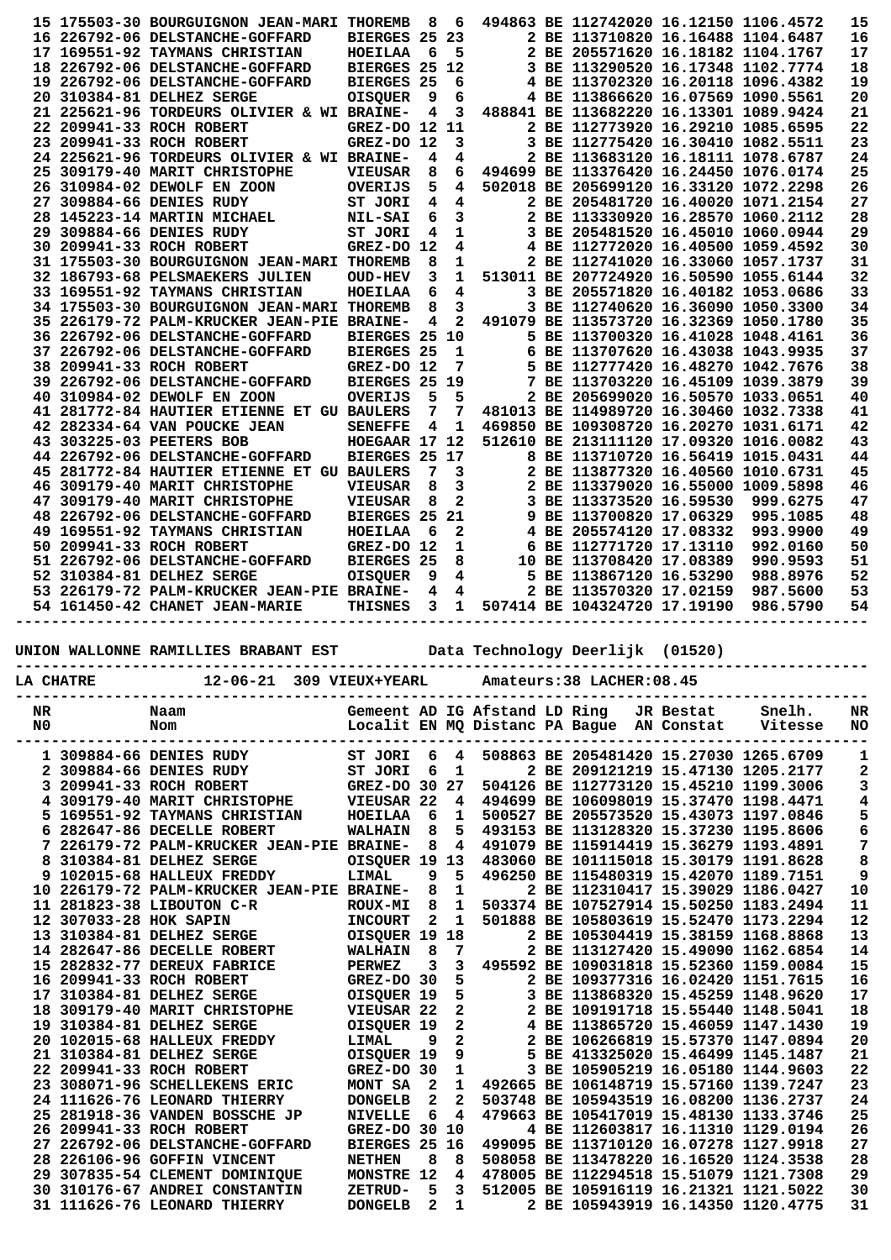| 15 175503-30 BOURGUIGNON JEAN-MARI THOREMB<br>8<br>494863 BE 112742020 16.12150 1106.4572<br>6<br>BIERGES 25 23<br>16 226792-06 DELSTANCHE-GOFFARD<br>2 BE 113710820 16.16488 1104.6487<br>- 6<br>2 BE 205571620 16.18182 1104.1767<br>17 169551-92 TAYMANS CHRISTIAN<br>HOEILAA<br>5<br>BIERGES 25 12<br>3 BE 113290520 16.17348 1102.7774<br>18 226792-06 DELSTANCHE-GOFFARD<br><b>BIERGES 25</b><br>4 BE 113702320 16.20118 1096.4382<br>19 226792-06 DELSTANCHE-GOFFARD<br>6<br>20 310384-81 DELHEZ SERGE<br>4 BE 113866620 16.07569 1090.5561<br><b>OISQUER</b><br>9<br>6<br>3<br>21 225621-96 TORDEURS OLIVIER & WI BRAINE-<br>4<br>488841 BE 113682220 16.13301 1089.9424<br>22 209941-33 ROCH ROBERT<br>GREZ-DO 12 11<br>2 BE 112773920 16.29210 1085.6595<br>GREZ-DO 12<br>3<br>3 BE 112775420 16.30410 1082.5511<br>23 209941-33 ROCH ROBERT<br>24 225621-96 TORDEURS OLIVIER & WI BRAINE-<br>4<br>4<br>2 BE 113683120 16.18111 1078.6787<br>25 309179-40 MARIT CHRISTOPHE<br>8<br>6<br>494699 BE 113376420 16.24450 1076.0174<br><b>VIEUSAR</b><br>5<br>26 310984-02 DEWOLF EN ZOON<br><b>OVERIJS</b><br>4<br>502018 BE 205699120 16.33120 1072.2298<br>4<br>$\overline{\mathbf{4}}$<br>27 309884-66 DENIES RUDY<br>2 BE 205481720 16.40020 1071.2154<br>ST JORI | 15       |
|-----------------------------------------------------------------------------------------------------------------------------------------------------------------------------------------------------------------------------------------------------------------------------------------------------------------------------------------------------------------------------------------------------------------------------------------------------------------------------------------------------------------------------------------------------------------------------------------------------------------------------------------------------------------------------------------------------------------------------------------------------------------------------------------------------------------------------------------------------------------------------------------------------------------------------------------------------------------------------------------------------------------------------------------------------------------------------------------------------------------------------------------------------------------------------------------------------------------------------------------------------------------------------|----------|
|                                                                                                                                                                                                                                                                                                                                                                                                                                                                                                                                                                                                                                                                                                                                                                                                                                                                                                                                                                                                                                                                                                                                                                                                                                                                             | 16       |
|                                                                                                                                                                                                                                                                                                                                                                                                                                                                                                                                                                                                                                                                                                                                                                                                                                                                                                                                                                                                                                                                                                                                                                                                                                                                             | 17       |
|                                                                                                                                                                                                                                                                                                                                                                                                                                                                                                                                                                                                                                                                                                                                                                                                                                                                                                                                                                                                                                                                                                                                                                                                                                                                             | 18       |
|                                                                                                                                                                                                                                                                                                                                                                                                                                                                                                                                                                                                                                                                                                                                                                                                                                                                                                                                                                                                                                                                                                                                                                                                                                                                             | 19       |
|                                                                                                                                                                                                                                                                                                                                                                                                                                                                                                                                                                                                                                                                                                                                                                                                                                                                                                                                                                                                                                                                                                                                                                                                                                                                             | 20       |
|                                                                                                                                                                                                                                                                                                                                                                                                                                                                                                                                                                                                                                                                                                                                                                                                                                                                                                                                                                                                                                                                                                                                                                                                                                                                             |          |
|                                                                                                                                                                                                                                                                                                                                                                                                                                                                                                                                                                                                                                                                                                                                                                                                                                                                                                                                                                                                                                                                                                                                                                                                                                                                             | 21       |
|                                                                                                                                                                                                                                                                                                                                                                                                                                                                                                                                                                                                                                                                                                                                                                                                                                                                                                                                                                                                                                                                                                                                                                                                                                                                             | 22       |
|                                                                                                                                                                                                                                                                                                                                                                                                                                                                                                                                                                                                                                                                                                                                                                                                                                                                                                                                                                                                                                                                                                                                                                                                                                                                             | 23       |
|                                                                                                                                                                                                                                                                                                                                                                                                                                                                                                                                                                                                                                                                                                                                                                                                                                                                                                                                                                                                                                                                                                                                                                                                                                                                             | 24       |
|                                                                                                                                                                                                                                                                                                                                                                                                                                                                                                                                                                                                                                                                                                                                                                                                                                                                                                                                                                                                                                                                                                                                                                                                                                                                             | 25       |
|                                                                                                                                                                                                                                                                                                                                                                                                                                                                                                                                                                                                                                                                                                                                                                                                                                                                                                                                                                                                                                                                                                                                                                                                                                                                             | 26       |
|                                                                                                                                                                                                                                                                                                                                                                                                                                                                                                                                                                                                                                                                                                                                                                                                                                                                                                                                                                                                                                                                                                                                                                                                                                                                             | 27       |
| 6<br>3<br>28 145223-14 MARTIN MICHAEL<br>2 BE 113330920 16.28570 1060.2112<br><b>NIL-SAI</b>                                                                                                                                                                                                                                                                                                                                                                                                                                                                                                                                                                                                                                                                                                                                                                                                                                                                                                                                                                                                                                                                                                                                                                                | 28       |
| 29 309884-66 DENIES RUDY<br>1<br>3 BE 205481520 16.45010 1060.0944<br>ST JORI<br>4                                                                                                                                                                                                                                                                                                                                                                                                                                                                                                                                                                                                                                                                                                                                                                                                                                                                                                                                                                                                                                                                                                                                                                                          | 29       |
| 30 209941-33 ROCH ROBERT<br>GREZ-DO 12<br>4 BE 112772020 16.40500 1059.4592<br>4                                                                                                                                                                                                                                                                                                                                                                                                                                                                                                                                                                                                                                                                                                                                                                                                                                                                                                                                                                                                                                                                                                                                                                                            | 30       |
| 8<br>31 175503-30 BOURGUIGNON JEAN-MARI THOREMB<br>2 BE 112741020 16.33060 1057.1737<br>1                                                                                                                                                                                                                                                                                                                                                                                                                                                                                                                                                                                                                                                                                                                                                                                                                                                                                                                                                                                                                                                                                                                                                                                   | 31       |
| 1<br>32 186793-68 PELSMAEKERS JULIEN<br>3<br>513011 BE 207724920 16.50590 1055.6144<br><b>OUD-HEV</b>                                                                                                                                                                                                                                                                                                                                                                                                                                                                                                                                                                                                                                                                                                                                                                                                                                                                                                                                                                                                                                                                                                                                                                       | 32       |
| 6<br>33 169551-92 TAYMANS CHRISTIAN<br>4<br>3 BE 205571820 16.40182 1053.0686<br>HOEILAA                                                                                                                                                                                                                                                                                                                                                                                                                                                                                                                                                                                                                                                                                                                                                                                                                                                                                                                                                                                                                                                                                                                                                                                    | 33       |
| 3<br>8<br>3 BE 112740620 16.36090 1050.3300<br>34 175503-30 BOURGUIGNON JEAN-MARI THOREMB                                                                                                                                                                                                                                                                                                                                                                                                                                                                                                                                                                                                                                                                                                                                                                                                                                                                                                                                                                                                                                                                                                                                                                                   | 34       |
| $\mathbf{2}$<br>491079 BE 113573720 16.32369 1050.1780<br>35 226179-72 PALM-KRUCKER JEAN-PIE BRAINE-<br>4                                                                                                                                                                                                                                                                                                                                                                                                                                                                                                                                                                                                                                                                                                                                                                                                                                                                                                                                                                                                                                                                                                                                                                   | 35       |
| BIERGES 25 10<br>36 226792-06 DELSTANCHE-GOFFARD<br>5 BE 113700320 16.41028 1048.4161                                                                                                                                                                                                                                                                                                                                                                                                                                                                                                                                                                                                                                                                                                                                                                                                                                                                                                                                                                                                                                                                                                                                                                                       | 36       |
| 1<br>6 BE 113707620 16.43038 1043.9935<br>37 226792-06 DELSTANCHE-GOFFARD<br><b>BIERGES 25</b>                                                                                                                                                                                                                                                                                                                                                                                                                                                                                                                                                                                                                                                                                                                                                                                                                                                                                                                                                                                                                                                                                                                                                                              | 37       |
| 38 209941-33 ROCH ROBERT<br>GREZ-DO 12<br>7<br>5 BE 112777420 16.48270 1042.7676                                                                                                                                                                                                                                                                                                                                                                                                                                                                                                                                                                                                                                                                                                                                                                                                                                                                                                                                                                                                                                                                                                                                                                                            | 38       |
| BIERGES 25 19<br>39 226792-06 DELSTANCHE-GOFFARD<br>BE 113703220 16.45109 1039.3879<br>7                                                                                                                                                                                                                                                                                                                                                                                                                                                                                                                                                                                                                                                                                                                                                                                                                                                                                                                                                                                                                                                                                                                                                                                    | 39       |
| 5<br>5<br>40 310984-02 DEWOLF EN ZOON<br>2 BE 205699020 16.50570 1033.0651<br>OVERIJS                                                                                                                                                                                                                                                                                                                                                                                                                                                                                                                                                                                                                                                                                                                                                                                                                                                                                                                                                                                                                                                                                                                                                                                       | 40       |
| 7<br>7<br>481013 BE 114989720 16.30460 1032.7338<br>41 281772-84 HAUTIER ETIENNE ET GU BAULERS                                                                                                                                                                                                                                                                                                                                                                                                                                                                                                                                                                                                                                                                                                                                                                                                                                                                                                                                                                                                                                                                                                                                                                              | 41       |
| 42 282334-64 VAN POUCKE JEAN<br>4<br>1<br>469850 BE 109308720 16.20270 1031.6171<br><b>SENEFFE</b>                                                                                                                                                                                                                                                                                                                                                                                                                                                                                                                                                                                                                                                                                                                                                                                                                                                                                                                                                                                                                                                                                                                                                                          | 42       |
| 43 303225-03 PEETERS BOB<br>HOEGAAR 17 12<br>512610 BE 213111120 17.09320 1016.0082                                                                                                                                                                                                                                                                                                                                                                                                                                                                                                                                                                                                                                                                                                                                                                                                                                                                                                                                                                                                                                                                                                                                                                                         | 43       |
| BIERGES 25 17<br>44 226792-06 DELSTANCHE-GOFFARD<br>8 BE 113710720 16.56419 1015.0431                                                                                                                                                                                                                                                                                                                                                                                                                                                                                                                                                                                                                                                                                                                                                                                                                                                                                                                                                                                                                                                                                                                                                                                       | 44       |
| 7<br>3<br>2 BE 113877320 16.40560 1010.6731<br>45 281772-84 HAUTIER ETIENNE ET GU BAULERS                                                                                                                                                                                                                                                                                                                                                                                                                                                                                                                                                                                                                                                                                                                                                                                                                                                                                                                                                                                                                                                                                                                                                                                   | 45       |
| 8<br>3<br>2 BE 113379020 16.55000 1009.5898<br>46 309179-40 MARIT CHRISTOPHE<br><b>VIEUSAR</b>                                                                                                                                                                                                                                                                                                                                                                                                                                                                                                                                                                                                                                                                                                                                                                                                                                                                                                                                                                                                                                                                                                                                                                              | 46       |
| 8<br>$\mathbf{2}$<br>47 309179-40 MARIT CHRISTOPHE<br>3 BE 113373520 16.59530<br>999.6275<br><b>VIEUSAR</b>                                                                                                                                                                                                                                                                                                                                                                                                                                                                                                                                                                                                                                                                                                                                                                                                                                                                                                                                                                                                                                                                                                                                                                 | 47       |
| 48 226792-06 DELSTANCHE-GOFFARD<br>BIERGES 25<br>21<br>9 BE 113700820 17.06329<br>995.1085                                                                                                                                                                                                                                                                                                                                                                                                                                                                                                                                                                                                                                                                                                                                                                                                                                                                                                                                                                                                                                                                                                                                                                                  | 48       |
| -6<br>2<br>4 BE 205574120 17.08332<br>993.9900<br>49 169551-92 TAYMANS CHRISTIAN<br><b>HOEILAA</b>                                                                                                                                                                                                                                                                                                                                                                                                                                                                                                                                                                                                                                                                                                                                                                                                                                                                                                                                                                                                                                                                                                                                                                          | 49       |
| GREZ-DO 12<br>1<br>6 BE 112771720 17.13110<br>50 209941-33 ROCH ROBERT<br>992.0160                                                                                                                                                                                                                                                                                                                                                                                                                                                                                                                                                                                                                                                                                                                                                                                                                                                                                                                                                                                                                                                                                                                                                                                          | 50       |
| 51 226792-06 DELSTANCHE-GOFFARD<br><b>BIERGES 25</b><br>8<br>10 BE 113708420 17.08389<br>990.9593                                                                                                                                                                                                                                                                                                                                                                                                                                                                                                                                                                                                                                                                                                                                                                                                                                                                                                                                                                                                                                                                                                                                                                           | 51       |
| 5 BE 113867120 16.53290<br>52 310384-81 DELHEZ SERGE<br><b>OISQUER</b><br>9<br>4<br>988.8976                                                                                                                                                                                                                                                                                                                                                                                                                                                                                                                                                                                                                                                                                                                                                                                                                                                                                                                                                                                                                                                                                                                                                                                | 52       |
| 53 226179-72 PALM-KRUCKER JEAN-PIE BRAINE-<br>4<br>2 BE 113570320 17.02159<br>987.5600<br>4                                                                                                                                                                                                                                                                                                                                                                                                                                                                                                                                                                                                                                                                                                                                                                                                                                                                                                                                                                                                                                                                                                                                                                                 |          |
| 54 161450-42 CHANET JEAN-MARIE<br>3<br>507414 BE 104324720 17.19190<br><b>THISNES</b><br>1<br>986.5790                                                                                                                                                                                                                                                                                                                                                                                                                                                                                                                                                                                                                                                                                                                                                                                                                                                                                                                                                                                                                                                                                                                                                                      |          |
|                                                                                                                                                                                                                                                                                                                                                                                                                                                                                                                                                                                                                                                                                                                                                                                                                                                                                                                                                                                                                                                                                                                                                                                                                                                                             | 53<br>54 |

## **UNION WALLONNE RAMILLIES BRABANT EST Data Technology Deerlijk (01520)**

|                | LA CHATRE              | 12-06-21 309 VIEUX+YEARL                |                   |                |              |                               | Amateurs: 38 LACHER: 08.45                |           |         |           |
|----------------|------------------------|-----------------------------------------|-------------------|----------------|--------------|-------------------------------|-------------------------------------------|-----------|---------|-----------|
| NR.            |                        | Naam                                    |                   |                |              | Gemeent AD IG Afstand LD Ring |                                           | JR Bestat | Snelh.  | NR        |
| N <sub>0</sub> |                        | Nom                                     |                   |                |              |                               | Localit EN MQ Distanc PA Bague AN Constat |           | Vitesse | <b>NO</b> |
|                |                        | 1 309884-66 DENIES RUDY                 | ST JORI           | 6              | 4            |                               | 508863 BE 205481420 15.27030 1265.6709    |           |         | 1         |
| 2              |                        | 309884-66 DENIES RUDY                   | ST JORI           | 6              | 1            |                               | 2 BE 209121219 15.47130 1205.2177         |           |         | 2         |
| 3              |                        | 209941-33 ROCH ROBERT                   | GREZ-DO 30        |                | 27           |                               | 504126 BE 112773120 15.45210 1199.3006    |           |         | 3         |
| 4              |                        | 309179-40 MARIT CHRISTOPHE              | VIEUSAR 22        |                | 4            |                               | 494699 BE 106098019 15.37470 1198.4471    |           |         | 4         |
|                |                        | 169551-92 TAYMANS CHRISTIAN             | HOEILAA           | 6              | 1            |                               | 500527 BE 205573520 15.43073 1197.0846    |           |         | 5         |
| 6              |                        | 282647-86 DECELLE ROBERT                | <b>WALHAIN</b>    | 8              | 5            |                               | 493153 BE 113128320 15.37230 1195.8606    |           |         | 6         |
| 7              |                        | 226179-72 PALM-KRUCKER JEAN-PIE BRAINE- |                   | 8              | 4            |                               | 491079 BE 115914419 15.36279 1193.4891    |           |         | 7         |
| 8              |                        | 310384-81 DELHEZ SERGE                  | OISQUER 19        |                | 13           |                               | 483060 BE 101115018 15.30179 1191.8628    |           |         | 8         |
| 9              |                        | 102015-68 HALLEUX FREDDY                | LIMAL             | 9              | 5            |                               | 496250 BE 115480319 15.42070 1189.7151    |           |         | 9         |
| 10             |                        | 226179-72 PALM-KRUCKER JEAN-PIE BRAINE- |                   | 8              | 1            |                               | 2 BE 112310417 15.39029 1186.0427         |           |         | 10        |
|                |                        | 11 281823-38 LIBOUTON C-R               | <b>ROUX-MI</b>    | 8              | $\mathbf{1}$ |                               | 503374 BE 107527914 15.50250 1183.2494    |           |         | 11        |
|                | 12 307033-28 HOK SAPIN |                                         | <b>INCOURT</b>    | $\mathbf{2}$   | 1            |                               | 501888 BE 105803619 15.52470 1173.2294    |           |         | 12        |
|                |                        | 13 310384-81 DELHEZ SERGE               | OISQUER 19        |                | 18           |                               | 2 BE 105304419 15.38159 1168.8868         |           |         | 13        |
|                |                        | 14 282647-86 DECELLE ROBERT             | <b>WALHAIN</b>    | 8              | 7            |                               | 2 BE 113127420 15.49090 1162.6854         |           |         | 14        |
|                |                        | 15 282832-77 DEREUX FABRICE             | <b>PERWEZ</b>     | 3              | 3            |                               | 495592 BE 109031818 15.52360 1159.0084    |           |         | 15        |
| 16             |                        | 209941-33 ROCH ROBERT                   | GREZ-DO 30        |                | 5            |                               | 2 BE 109377316 16.02420 1151.7615         |           |         | 16        |
|                |                        | 17 310384-81 DELHEZ SERGE               | OISQUER 19        |                | 5            |                               | BE 113868320 15.45259 1148.9620           |           |         | 17        |
|                |                        | 18 309179-40 MARIT CHRISTOPHE           | VIEUSAR 22        |                | 2            |                               | BE 109191718 15.55440 1148.5041           |           |         | 18        |
|                |                        | 19 310384-81 DELHEZ SERGE               | OISQUER 19        |                | 2            | 4                             | BE 113865720 15.46059 1147.1430           |           |         | 19        |
|                |                        | 20 102015-68 HALLEUX FREDDY             | LIMAL             | 9              | 2            |                               | BE 106266819 15.57370 1147.0894           |           |         | 20        |
|                |                        | 21 310384-81 DELHEZ SERGE               | OISQUER 19        |                | 9            | 5                             | BE 413325020 15.46499 1145.1487           |           |         | 21        |
|                |                        | 22 209941-33 ROCH ROBERT                | $GREZ-DO$ 30      |                | 1            | 3                             | BE 105905219 16.05180 1144.9603           |           |         | 22        |
| 23             |                        | 308071-96 SCHELLEKENS ERIC              | MONT SA           | $\mathbf{2}$   | 1            | 492665                        | BE 106148719 15.57160 1139.7247           |           |         | 23        |
|                |                        | 24 111626-76 LEONARD THIERRY            | <b>DONGELB</b>    | $\overline{2}$ | $\mathbf{2}$ |                               | 503748 BE 105943519 16.08200 1136.2737    |           |         | 24        |
| 25             |                        | 281918-36 VANDEN BOSSCHE JP             | <b>NIVELLE</b>    | 6              | 4            |                               | 479663 BE 105417019 15.48130 1133.3746    |           |         | 25        |
| 26             |                        | 209941-33 ROCH ROBERT                   | GREZ-DO           | 30 10          |              |                               | 4 BE 112603817 16.11310 1129.0194         |           |         | 26        |
| 27             |                        | 226792-06 DELSTANCHE-GOFFARD            | <b>BIERGES 25</b> |                | 16           |                               | 499095 BE 113710120 16.07278 1127.9918    |           |         | 27        |
| 28             |                        | 226106-96 GOFFIN VINCENT                | <b>NETHEN</b>     | 8              | 8            |                               | 508058 BE 113478220 16.16520 1124.3538    |           |         | 28        |
| 29             |                        | 307835-54 CLEMENT DOMINIOUE             | MONSTRE 12        |                | 4            |                               | 478005 BE 112294518 15.51079 1121.7308    |           |         | 29        |
| 30             |                        | 310176-67 ANDREI CONSTANTIN             | ZETRUD-           | 5              | 3            |                               | 512005 BE 105916119 16.21321 1121.5022    |           |         | 30        |
|                |                        | 31 111626-76 LEONARD THIERRY            | <b>DONGELB</b>    | $\mathbf{2}$   | 1            |                               | 2 BE 105943919 16.14350 1120.4775         |           |         | 31        |